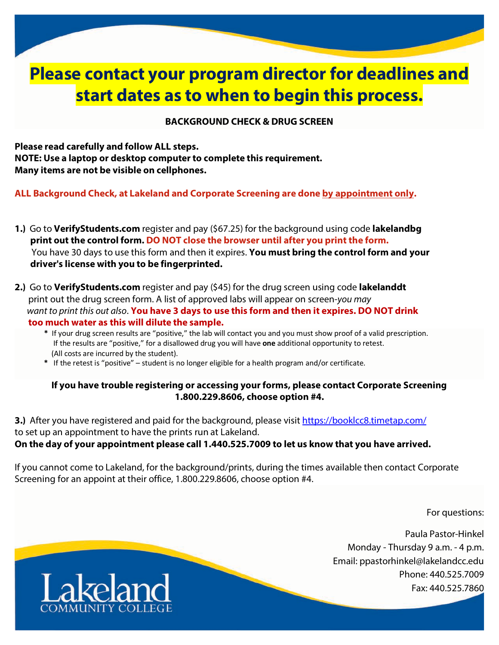# **Please contact your program director for deadlines and start dates as to when to begin this process.**

### **BACKGROUND CHECK & DRUG SCREEN**

**Please read carefully and follow ALL steps. NOTE: Use a laptop or desktop computer to complete this requirement. Many items are not be visible on cellphones.**

**ALL Background Check, at Lakeland and Corporate Screening are done by appointment only.**

- **1.)** Go to **VerifyStudents.com** register and pay (\$67.25) for the background using code **lakelandbg print out the control form. DO NOT close the browser until after you print the form.** You have 30 days to use this form and then it expires. **You must bring the control form and your driver's license with you to be fingerprinted.**
- **2.)** Go to **VerifyStudents.com** register and pay (\$45) for the drug screen using code **lakelanddt** print out the drug screen form. A list of approved labs will appear on screen-*you may* want to print this out also. You have 3 days to use this form and then it expires. DO NOT drink  **too much water as this will dilute the sample.**
	- **\*** If your drug screen results are "positive," the lab will contact you and you must show proof of a valid prescription. If the results are "positive," for a disallowed drug you will have **one** additional opportunity to retest. (All costs are incurred by the student).
	- **\*** If the retest is "positive" student is no longer eligible for a health program and/or certificate.

### **If you have trouble registering or accessing your forms, please contact Corporate Screening 1.800.229.8606, choose option #4.**

**3.)** After you have registered and paid for the background, please visit https://booklcc8.timetap.com/ to set up an appointment to have the prints run at Lakeland. **On the day of your appointment please call 1.440.525.7009 to let us know that you have arrived.**

If you cannot come to Lakeland, for the background/prints, during the times available then contact Corporate Screening for an appoint at their office, 1.800.229.8606, choose option #4.

For questions:

Paula Pastor-Hinkel Monday - Thursday 9 a.m. - 4 p.m. Email: ppastorhinkel@lakelandcc.edu Phone: 440.525.7009 Fax: 440.525.7860